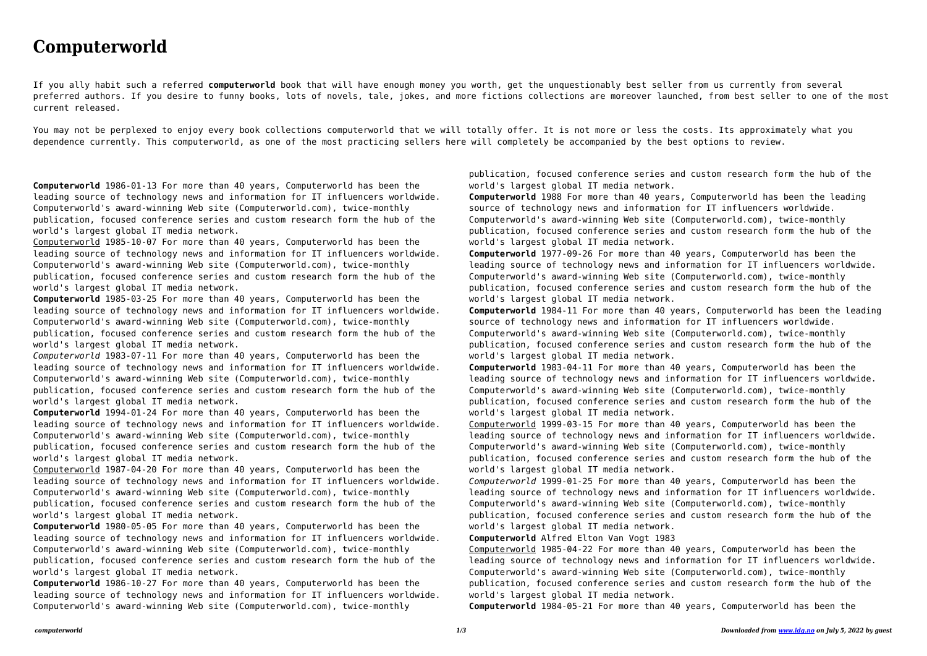## **Computerworld**

If you ally habit such a referred **computerworld** book that will have enough money you worth, get the unquestionably best seller from us currently from several preferred authors. If you desire to funny books, lots of novels, tale, jokes, and more fictions collections are moreover launched, from best seller to one of the most current released.

You may not be perplexed to enjoy every book collections computerworld that we will totally offer. It is not more or less the costs. Its approximately what you dependence currently. This computerworld, as one of the most practicing sellers here will completely be accompanied by the best options to review.

**Computerworld** 1986-01-13 For more than 40 years, Computerworld has been the leading source of technology news and information for IT influencers worldwide. Computerworld's award-winning Web site (Computerworld.com), twice-monthly publication, focused conference series and custom research form the hub of the world's largest global IT media network.

Computerworld 1985-10-07 For more than 40 years, Computerworld has been the leading source of technology news and information for IT influencers worldwide. Computerworld's award-winning Web site (Computerworld.com), twice-monthly publication, focused conference series and custom research form the hub of the world's largest global IT media network.

**Computerworld** 1985-03-25 For more than 40 years, Computerworld has been the leading source of technology news and information for IT influencers worldwide. Computerworld's award-winning Web site (Computerworld.com), twice-monthly publication, focused conference series and custom research form the hub of the world's largest global IT media network.

*Computerworld* 1983-07-11 For more than 40 years, Computerworld has been the leading source of technology news and information for IT influencers worldwide. Computerworld's award-winning Web site (Computerworld.com), twice-monthly publication, focused conference series and custom research form the hub of the world's largest global IT media network.

**Computerworld** 1994-01-24 For more than 40 years, Computerworld has been the leading source of technology news and information for IT influencers worldwide. Computerworld's award-winning Web site (Computerworld.com), twice-monthly publication, focused conference series and custom research form the hub of the world's largest global IT media network.

Computerworld 1987-04-20 For more than 40 years, Computerworld has been the leading source of technology news and information for IT influencers worldwide. Computerworld's award-winning Web site (Computerworld.com), twice-monthly publication, focused conference series and custom research form the hub of the world's largest global IT media network.

**Computerworld** 1980-05-05 For more than 40 years, Computerworld has been the leading source of technology news and information for IT influencers worldwide. Computerworld's award-winning Web site (Computerworld.com), twice-monthly publication, focused conference series and custom research form the hub of the world's largest global IT media network.

**Computerworld** 1986-10-27 For more than 40 years, Computerworld has been the leading source of technology news and information for IT influencers worldwide. Computerworld's award-winning Web site (Computerworld.com), twice-monthly

publication, focused conference series and custom research form the hub of the world's largest global IT media network.

**Computerworld** 1988 For more than 40 years, Computerworld has been the leading source of technology news and information for IT influencers worldwide. Computerworld's award-winning Web site (Computerworld.com), twice-monthly publication, focused conference series and custom research form the hub of the world's largest global IT media network.

**Computerworld** 1977-09-26 For more than 40 years, Computerworld has been the leading source of technology news and information for IT influencers worldwide. Computerworld's award-winning Web site (Computerworld.com), twice-monthly publication, focused conference series and custom research form the hub of the world's largest global IT media network.

**Computerworld** 1984-11 For more than 40 years, Computerworld has been the leading source of technology news and information for IT influencers worldwide. Computerworld's award-winning Web site (Computerworld.com), twice-monthly publication, focused conference series and custom research form the hub of the world's largest global IT media network.

**Computerworld** 1983-04-11 For more than 40 years, Computerworld has been the leading source of technology news and information for IT influencers worldwide. Computerworld's award-winning Web site (Computerworld.com), twice-monthly publication, focused conference series and custom research form the hub of the world's largest global IT media network.

Computerworld 1999-03-15 For more than 40 years, Computerworld has been the leading source of technology news and information for IT influencers worldwide. Computerworld's award-winning Web site (Computerworld.com), twice-monthly publication, focused conference series and custom research form the hub of the world's largest global IT media network.

*Computerworld* 1999-01-25 For more than 40 years, Computerworld has been the leading source of technology news and information for IT influencers worldwide. Computerworld's award-winning Web site (Computerworld.com), twice-monthly publication, focused conference series and custom research form the hub of the world's largest global IT media network.

**Computerworld** Alfred Elton Van Vogt 1983 Computerworld 1985-04-22 For more than 40 years, Computerworld has been the leading source of technology news and information for IT influencers worldwide. Computerworld's award-winning Web site (Computerworld.com), twice-monthly publication, focused conference series and custom research form the hub of the world's largest global IT media network.

**Computerworld** 1984-05-21 For more than 40 years, Computerworld has been the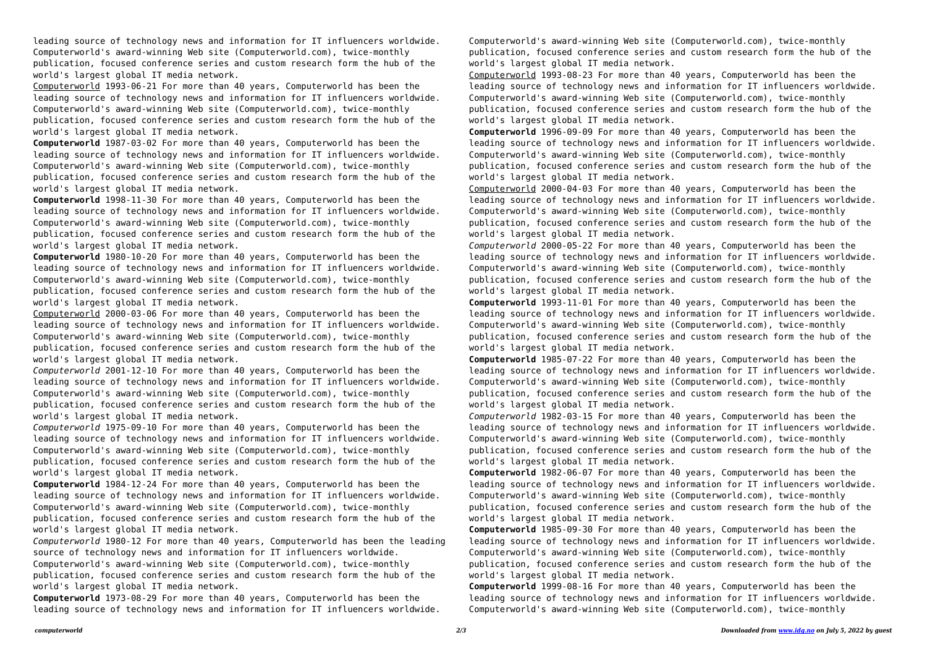leading source of technology news and information for IT influencers worldwide. Computerworld's award-winning Web site (Computerworld.com), twice-monthly publication, focused conference series and custom research form the hub of the world's largest global IT media network.

Computerworld 1993-06-21 For more than 40 years, Computerworld has been the leading source of technology news and information for IT influencers worldwide. Computerworld's award-winning Web site (Computerworld.com), twice-monthly publication, focused conference series and custom research form the hub of the world's largest global IT media network.

**Computerworld** 1987-03-02 For more than 40 years, Computerworld has been the leading source of technology news and information for IT influencers worldwide. Computerworld's award-winning Web site (Computerworld.com), twice-monthly publication, focused conference series and custom research form the hub of the world's largest global IT media network.

**Computerworld** 1998-11-30 For more than 40 years, Computerworld has been the leading source of technology news and information for IT influencers worldwide. Computerworld's award-winning Web site (Computerworld.com), twice-monthly publication, focused conference series and custom research form the hub of the world's largest global IT media network.

**Computerworld** 1980-10-20 For more than 40 years, Computerworld has been the leading source of technology news and information for IT influencers worldwide. Computerworld's award-winning Web site (Computerworld.com), twice-monthly publication, focused conference series and custom research form the hub of the world's largest global IT media network.

Computerworld 2000-03-06 For more than 40 years, Computerworld has been the leading source of technology news and information for IT influencers worldwide. Computerworld's award-winning Web site (Computerworld.com), twice-monthly publication, focused conference series and custom research form the hub of the world's largest global IT media network.

*Computerworld* 2001-12-10 For more than 40 years, Computerworld has been the leading source of technology news and information for IT influencers worldwide. Computerworld's award-winning Web site (Computerworld.com), twice-monthly publication, focused conference series and custom research form the hub of the world's largest global IT media network.

*Computerworld* 1975-09-10 For more than 40 years, Computerworld has been the leading source of technology news and information for IT influencers worldwide. Computerworld's award-winning Web site (Computerworld.com), twice-monthly publication, focused conference series and custom research form the hub of the world's largest global IT media network.

**Computerworld** 1984-12-24 For more than 40 years, Computerworld has been the leading source of technology news and information for IT influencers worldwide. Computerworld's award-winning Web site (Computerworld.com), twice-monthly publication, focused conference series and custom research form the hub of the world's largest global IT media network.

*Computerworld* 1980-12 For more than 40 years, Computerworld has been the leading source of technology news and information for IT influencers worldwide.

Computerworld's award-winning Web site (Computerworld.com), twice-monthly publication, focused conference series and custom research form the hub of the world's largest global IT media network.

**Computerworld** 1973-08-29 For more than 40 years, Computerworld has been the leading source of technology news and information for IT influencers worldwide. Computerworld's award-winning Web site (Computerworld.com), twice-monthly publication, focused conference series and custom research form the hub of the world's largest global IT media network.

Computerworld 1993-08-23 For more than 40 years, Computerworld has been the leading source of technology news and information for IT influencers worldwide. Computerworld's award-winning Web site (Computerworld.com), twice-monthly publication, focused conference series and custom research form the hub of the world's largest global IT media network.

**Computerworld** 1996-09-09 For more than 40 years, Computerworld has been the leading source of technology news and information for IT influencers worldwide. Computerworld's award-winning Web site (Computerworld.com), twice-monthly publication, focused conference series and custom research form the hub of the world's largest global IT media network.

Computerworld 2000-04-03 For more than 40 years, Computerworld has been the leading source of technology news and information for IT influencers worldwide. Computerworld's award-winning Web site (Computerworld.com), twice-monthly publication, focused conference series and custom research form the hub of the world's largest global IT media network.

*Computerworld* 2000-05-22 For more than 40 years, Computerworld has been the leading source of technology news and information for IT influencers worldwide. Computerworld's award-winning Web site (Computerworld.com), twice-monthly publication, focused conference series and custom research form the hub of the world's largest global IT media network.

**Computerworld** 1993-11-01 For more than 40 years, Computerworld has been the leading source of technology news and information for IT influencers worldwide. Computerworld's award-winning Web site (Computerworld.com), twice-monthly publication, focused conference series and custom research form the hub of the world's largest global IT media network.

**Computerworld** 1985-07-22 For more than 40 years, Computerworld has been the leading source of technology news and information for IT influencers worldwide. Computerworld's award-winning Web site (Computerworld.com), twice-monthly publication, focused conference series and custom research form the hub of the world's largest global IT media network.

*Computerworld* 1982-03-15 For more than 40 years, Computerworld has been the leading source of technology news and information for IT influencers worldwide. Computerworld's award-winning Web site (Computerworld.com), twice-monthly publication, focused conference series and custom research form the hub of the world's largest global IT media network.

**Computerworld** 1982-06-07 For more than 40 years, Computerworld has been the leading source of technology news and information for IT influencers worldwide. Computerworld's award-winning Web site (Computerworld.com), twice-monthly publication, focused conference series and custom research form the hub of the world's largest global IT media network.

**Computerworld** 1985-09-30 For more than 40 years, Computerworld has been the leading source of technology news and information for IT influencers worldwide. Computerworld's award-winning Web site (Computerworld.com), twice-monthly publication, focused conference series and custom research form the hub of the world's largest global IT media network.

**Computerworld** 1999-08-16 For more than 40 years, Computerworld has been the leading source of technology news and information for IT influencers worldwide. Computerworld's award-winning Web site (Computerworld.com), twice-monthly